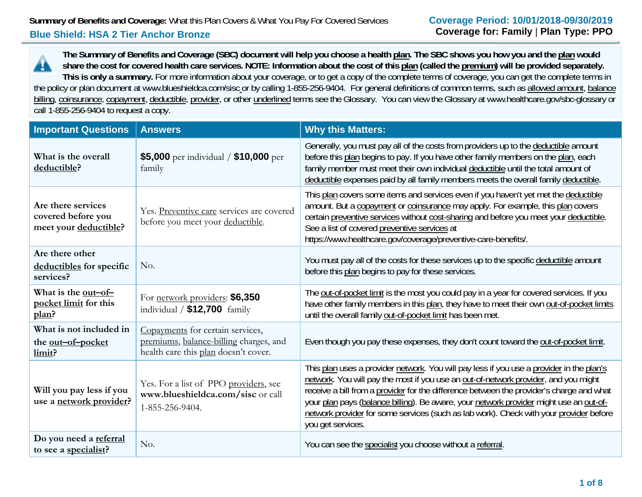**The Summary of Benefits and Coverage (SBC) document will help you choose a health plan. The SBC shows you how you and the plan would share the cost for covered health care services. NOTE: Information about the cost of this plan (called the premium) will be provided separately. This is only a summary.** For more information about your coverage, or to get a copy of the complete terms of coverage, you can get the complete terms in the policy or plan document at www.blueshieldca.com/sisc or by calling 1-855-256-9404. For general definitions of common terms, such as allowed amount, balance billing, coinsurance, copayment, deductible, provider, or other underlined terms see the Glossary. You can view the Glossary at www.healthcare.gov/sbc-glossary or call 1-855-256-9404 to request a copy.

| <b>Important Questions</b>                                        | <b>Answers</b>                                                                                                     | <b>Why this Matters:</b>                                                                                                                                                                                                                                                                                                                                                                                                                                                             |
|-------------------------------------------------------------------|--------------------------------------------------------------------------------------------------------------------|--------------------------------------------------------------------------------------------------------------------------------------------------------------------------------------------------------------------------------------------------------------------------------------------------------------------------------------------------------------------------------------------------------------------------------------------------------------------------------------|
| What is the overall<br>deductible?                                | \$5,000 per individual / \$10,000 per<br>family                                                                    | Generally, you must pay all of the costs from providers up to the deductible amount<br>before this plan begins to pay. If you have other family members on the plan, each<br>family member must meet their own individual deductible until the total amount of<br>deductible expenses paid by all family members meets the overall family deductible.                                                                                                                                |
| Are there services<br>covered before you<br>meet your deductible? | Yes. Preventive care services are covered<br>before you meet your deductible.                                      | This plan covers some items and services even if you haven't yet met the deductible<br>amount. But a copayment or coinsurance may apply. For example, this plan covers<br>certain preventive services without cost-sharing and before you meet your deductible.<br>See a list of covered preventive services at<br>https://www.healthcare.gov/coverage/preventive-care-benefits/.                                                                                                    |
| Are there other<br>deductibles for specific<br>services?          | No.                                                                                                                | You must pay all of the costs for these services up to the specific deductible amount<br>before this plan begins to pay for these services.                                                                                                                                                                                                                                                                                                                                          |
| What is the out-of-<br>pocket limit for this<br>plan?             | For network providers: \$6,350<br>individual / \$12,700 family                                                     | The out-of-pocket limit is the most you could pay in a year for covered services. If you<br>have other family members in this plan, they have to meet their own out-of-pocket limits<br>until the overall family out-of-pocket limit has been met.                                                                                                                                                                                                                                   |
| What is not included in<br>the out-of-pocket<br>limit?            | Copayments for certain services,<br>premiums, balance-billing charges, and<br>health care this plan doesn't cover. | Even though you pay these expenses, they don't count toward the out-of-pocket limit.                                                                                                                                                                                                                                                                                                                                                                                                 |
| Will you pay less if you<br>use a network provider?               | Yes. For a list of PPO providers, see<br>www.blueshieldca.com/sisc or call<br>1-855-256-9404.                      | This plan uses a provider network. You will pay less if you use a provider in the plan's<br>network. You will pay the most if you use an out-of-network provider, and you might<br>receive a bill from a provider for the difference between the provider's charge and what<br>your plan pays (balance billing). Be aware, your network provider might use an out-of-<br>network provider for some services (such as lab work). Check with your provider before<br>you get services. |
| Do you need a referral<br>to see a specialist?                    | No.                                                                                                                | You can see the specialist you choose without a referral.                                                                                                                                                                                                                                                                                                                                                                                                                            |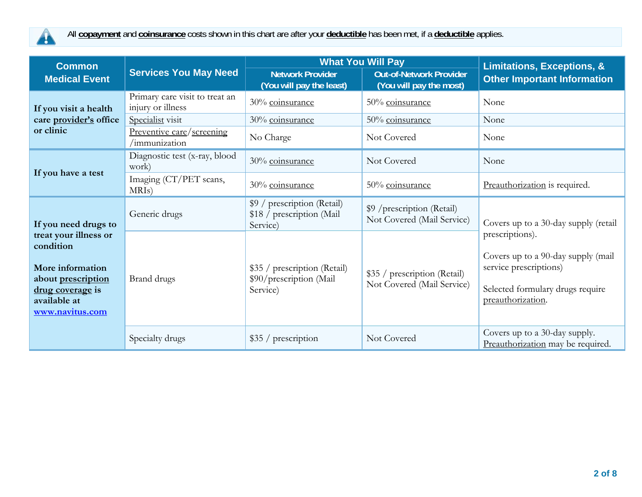

| <b>Common</b>                                                                                                                       |                                                     | <b>What You Will Pay</b>                                             |                                                            | <b>Limitations, Exceptions, &amp;</b>                                                                                                    |
|-------------------------------------------------------------------------------------------------------------------------------------|-----------------------------------------------------|----------------------------------------------------------------------|------------------------------------------------------------|------------------------------------------------------------------------------------------------------------------------------------------|
| <b>Medical Event</b>                                                                                                                | <b>Services You May Need</b>                        | <b>Network Provider</b><br>(You will pay the least)                  | <b>Out-of-Network Provider</b><br>(You will pay the most)  | <b>Other Important Information</b>                                                                                                       |
| If you visit a health                                                                                                               | Primary care visit to treat an<br>injury or illness | 30% coinsurance                                                      | 50% coinsurance                                            | None                                                                                                                                     |
| care provider's office                                                                                                              | Specialist visit                                    | 30% coinsurance                                                      | 50% coinsurance                                            | None                                                                                                                                     |
| or clinic                                                                                                                           | Preventive care/screening<br>immunization           | No Charge                                                            | Not Covered                                                | None                                                                                                                                     |
|                                                                                                                                     | Diagnostic test (x-ray, blood<br>work)              | 30% coinsurance                                                      | Not Covered                                                | None                                                                                                                                     |
| If you have a test                                                                                                                  | Imaging (CT/PET scans,<br>MRI <sub>s</sub> )        | 30% coinsurance                                                      | 50% coinsurance                                            | Preauthorization is required.                                                                                                            |
| If you need drugs to                                                                                                                | Generic drugs                                       | \$9 / prescription (Retail)<br>\$18 / prescription (Mail<br>Service) | \$9 /prescription (Retail)<br>Not Covered (Mail Service)   | Covers up to a 30-day supply (retail                                                                                                     |
| treat your illness or<br>condition<br>More information<br>about prescription<br>drug coverage is<br>available at<br>www.navitus.com | Brand drugs                                         | \$35 / prescription (Retail)<br>\$90/prescription (Mail<br>Service)  | \$35 / prescription (Retail)<br>Not Covered (Mail Service) | prescriptions).<br>Covers up to a 90-day supply (mail<br>service prescriptions)<br>Selected formulary drugs require<br>preauthorization. |
|                                                                                                                                     | Specialty drugs                                     | \$35 / prescription                                                  | Not Covered                                                | Covers up to a 30-day supply.<br>Preauthorization may be required.                                                                       |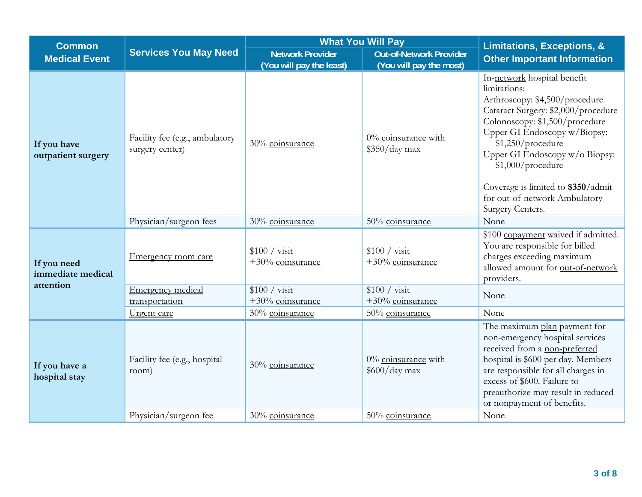| <b>Common</b>                     |                                                   | <b>What You Will Pay</b>                            |                                                           | <b>Limitations, Exceptions, &amp;</b>                                                                                                                                                                                                                                                                                                                         |
|-----------------------------------|---------------------------------------------------|-----------------------------------------------------|-----------------------------------------------------------|---------------------------------------------------------------------------------------------------------------------------------------------------------------------------------------------------------------------------------------------------------------------------------------------------------------------------------------------------------------|
| <b>Medical Event</b>              | <b>Services You May Need</b>                      | <b>Network Provider</b><br>(You will pay the least) | <b>Out-of-Network Provider</b><br>(You will pay the most) | <b>Other Important Information</b>                                                                                                                                                                                                                                                                                                                            |
| If you have<br>outpatient surgery | Facility fee (e.g., ambulatory<br>surgery center) | 30% coinsurance                                     | $0\%$ coinsurance with<br>$$350/day$ max                  | In-network hospital benefit<br>limitations:<br>Arthroscopy: \$4,500/procedure<br>Cataract Surgery: \$2,000/procedure<br>Colonoscopy: \$1,500/procedure<br>Upper GI Endoscopy w/Biopsy:<br>\$1,250/procedure<br>Upper GI Endoscopy w/o Biopsy:<br>\$1,000/procedure<br>Coverage is limited to \$350/admit<br>for out-of-network Ambulatory<br>Surgery Centers. |
|                                   | Physician/surgeon fees                            | 30% coinsurance                                     | 50% coinsurance                                           | None                                                                                                                                                                                                                                                                                                                                                          |
| If you need<br>immediate medical  | Emergency room care                               | $$100 / \text{visit}$<br>+30% coinsurance           | $$100 / \text{visit}$<br>+30% coinsurance                 | \$100 copayment waived if admitted.<br>You are responsible for billed<br>charges exceeding maximum<br>allowed amount for out-of-network<br>providers.                                                                                                                                                                                                         |
| attention                         | <b>Emergency medical</b><br>transportation        | \$100 / vist<br>+30% coinsurance                    | $$100 / \text{visit}$<br>+30% coinsurance                 | None                                                                                                                                                                                                                                                                                                                                                          |
|                                   | <u>Urgent</u> care                                | 30% coinsurance                                     | 50% coinsurance                                           | None                                                                                                                                                                                                                                                                                                                                                          |
| If you have a<br>hospital stay    | Facility fee (e.g., hospital<br>room)             | 30% coinsurance                                     | $0\%$ coinsurance with<br>$$600/day$ max                  | The maximum plan payment for<br>non-emergency hospital services<br>received from a non-preferred<br>hospital is \$600 per day. Members<br>are responsible for all charges in<br>excess of \$600. Failure to<br>preauthorize may result in reduced<br>or nonpayment of benefits.                                                                               |
|                                   | Physician/surgeon fee                             | 30% coinsurance                                     | 50% coinsurance                                           | None                                                                                                                                                                                                                                                                                                                                                          |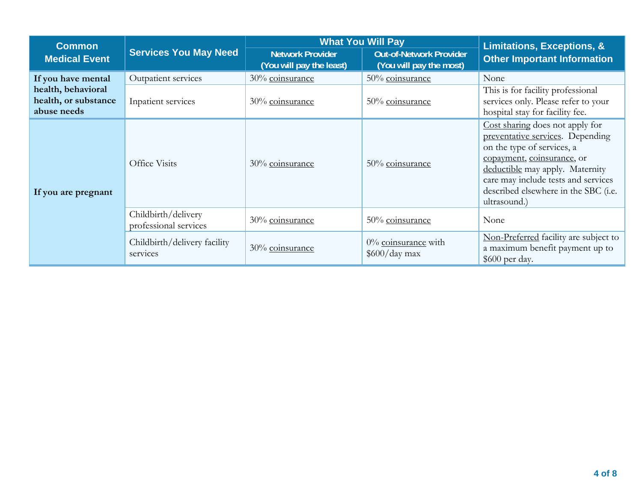| <b>Common</b>                                             |                                              | <b>What You Will Pay</b>                            |                                                           | <b>Limitations, Exceptions, &amp;</b>                                                                                                                                                                                                                             |
|-----------------------------------------------------------|----------------------------------------------|-----------------------------------------------------|-----------------------------------------------------------|-------------------------------------------------------------------------------------------------------------------------------------------------------------------------------------------------------------------------------------------------------------------|
| <b>Medical Event</b>                                      | <b>Services You May Need</b>                 | <b>Network Provider</b><br>(You will pay the least) | <b>Out-of-Network Provider</b><br>(You will pay the most) | <b>Other Important Information</b>                                                                                                                                                                                                                                |
| If you have mental                                        | Outpatient services                          | 30% coinsurance                                     | 50% coinsurance                                           | None                                                                                                                                                                                                                                                              |
| health, behavioral<br>health, or substance<br>abuse needs | Inpatient services                           | 30% coinsurance                                     | 50% coinsurance                                           | This is for facility professional<br>services only. Please refer to your<br>hospital stay for facility fee.                                                                                                                                                       |
| If you are pregnant                                       | Office Visits                                | 30% coinsurance                                     | 50% coinsurance                                           | Cost sharing does not apply for<br>preventative services. Depending<br>on the type of services, a<br>copayment, coinsurance, or<br>deductible may apply. Maternity<br>care may include tests and services<br>described elsewhere in the SBC (i.e.<br>ultrasound.) |
|                                                           | Childbirth/delivery<br>professional services | 30% coinsurance                                     | 50% coinsurance                                           | None                                                                                                                                                                                                                                                              |
|                                                           | Childbirth/delivery facility<br>services     | 30% coinsurance                                     | $0\%$ coinsurance with<br>$$600/day$ max                  | Non-Preferred facility are subject to<br>a maximum benefit payment up to<br>\$600 per day.                                                                                                                                                                        |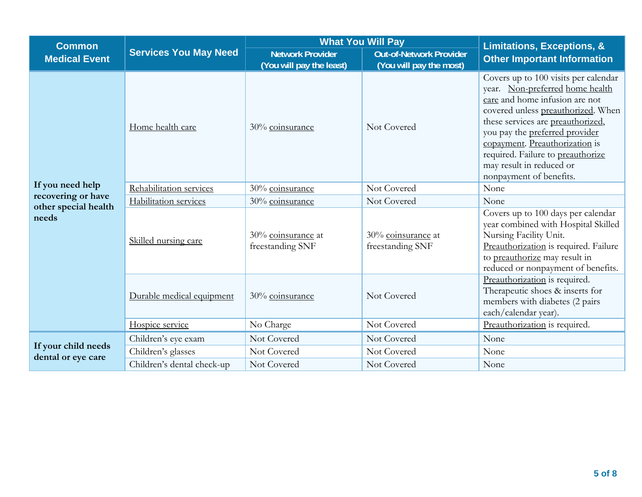| <b>Common</b>                              |                              | <b>What You Will Pay</b>                            |                                                           | <b>Limitations, Exceptions, &amp;</b>                                                                                                                                                                                                                                                                                                                |
|--------------------------------------------|------------------------------|-----------------------------------------------------|-----------------------------------------------------------|------------------------------------------------------------------------------------------------------------------------------------------------------------------------------------------------------------------------------------------------------------------------------------------------------------------------------------------------------|
| <b>Medical Event</b>                       | <b>Services You May Need</b> | <b>Network Provider</b><br>(You will pay the least) | <b>Out-of-Network Provider</b><br>(You will pay the most) | <b>Other Important Information</b>                                                                                                                                                                                                                                                                                                                   |
|                                            | Home health care             | 30% coinsurance                                     | Not Covered                                               | Covers up to 100 visits per calendar<br>year. Non-preferred home health<br>care and home infusion are not<br>covered unless preauthorized. When<br>these services are preauthorized,<br>you pay the preferred provider<br>copayment. Preauthorization is<br>required. Failure to preauthorize<br>may result in reduced or<br>nonpayment of benefits. |
| If you need help                           | Rehabilitation services      | 30% coinsurance                                     | Not Covered                                               | None                                                                                                                                                                                                                                                                                                                                                 |
| recovering or have<br>other special health | Habilitation services        | 30% coinsurance                                     | Not Covered                                               | None                                                                                                                                                                                                                                                                                                                                                 |
| needs                                      | Skilled nursing care         | 30% coinsurance at<br>freestanding SNF              | 30% coinsurance at<br>freestanding SNF                    | Covers up to 100 days per calendar<br>year combined with Hospital Skilled<br>Nursing Facility Unit.<br>Preauthorization is required. Failure<br>to preauthorize may result in<br>reduced or nonpayment of benefits.                                                                                                                                  |
|                                            | Durable medical equipment    | 30% coinsurance                                     | Not Covered                                               | Preauthorization is required.<br>Therapeutic shoes & inserts for<br>members with diabetes (2 pairs<br>each/calendar year).                                                                                                                                                                                                                           |
|                                            | Hospice service              | No Charge                                           | Not Covered                                               | Preauthorization is required.                                                                                                                                                                                                                                                                                                                        |
|                                            | Children's eye exam          | Not Covered                                         | Not Covered                                               | None                                                                                                                                                                                                                                                                                                                                                 |
| If your child needs                        | Children's glasses           | Not Covered                                         | Not Covered                                               | None                                                                                                                                                                                                                                                                                                                                                 |
| dental or eye care                         | Children's dental check-up   | Not Covered                                         | Not Covered                                               | None                                                                                                                                                                                                                                                                                                                                                 |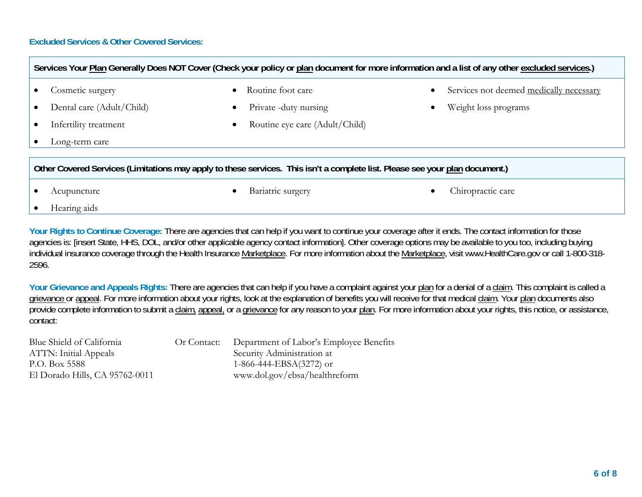# **Excluded Services & Other Covered Services:**

| Services Your Plan Generally Does NOT Cover (Check your policy or plan document for more information and a list of any other excluded services.) |                                                                                                                              |                                                                 |  |
|--------------------------------------------------------------------------------------------------------------------------------------------------|------------------------------------------------------------------------------------------------------------------------------|-----------------------------------------------------------------|--|
| Cosmetic surgery<br>Dental care (Adult/Child)                                                                                                    | Routine foot care<br>Private -duty nursing                                                                                   | Services not deemed medically necessary<br>Weight loss programs |  |
| Infertility treatment<br>Long-term care                                                                                                          | Routine eye care (Adult/Child)<br>$\bullet$                                                                                  |                                                                 |  |
|                                                                                                                                                  | Other Covered Services (Limitations may apply to these services. This isn't a complete list. Please see your plan document.) |                                                                 |  |
| Acupuncture                                                                                                                                      | Bariatric surgery                                                                                                            | Chiropractic care                                               |  |

Hearing aids

Your Rights to Continue Coverage: There are agencies that can help if you want to continue your coverage after it ends. The contact information for those agencies is: [insert State, HHS, DOL, and/or other applicable agency contact information]. Other coverage options may be available to you too, including buying individual insurance coverage through the Health Insurance Marketplace. For more information about the Marketplace, visit www.HealthCare.gov or call 1-800-318- 2596.

Your Grievance and Appeals Rights: There are agencies that can help if you have a complaint against your plan for a denial of a claim. This complaint is called a grievance or appeal. For more information about your rights, look at the explanation of benefits you will receive for that medical claim. Your plan documents also provide complete information to submit a claim, appeal, or a grievance for any reason to your plan. For more information about your rights, this notice, or assistance, contact:

| Department of Labor's Employee Benefits |
|-----------------------------------------|
| Security Administration at              |
| 1-866-444-EBSA(3272) or                 |
| www.dol.gov/ebsa/healthreform           |
| Or Contact:                             |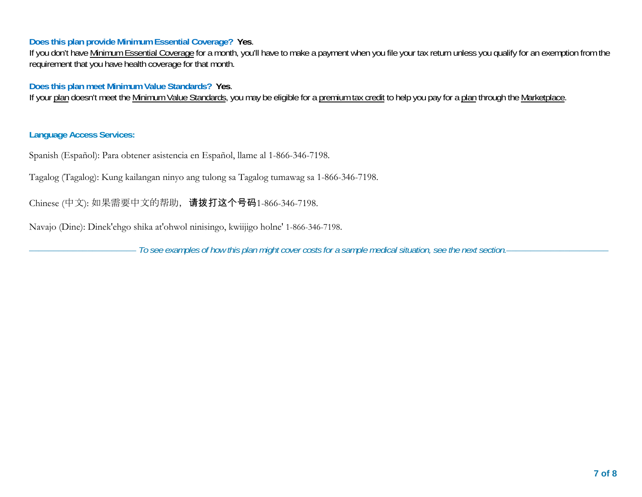# **Does this plan provide Minimum Essential Coverage? Yes**.

If you don't have Minimum Essential Coverage for a month, you'll have to make a payment when you file your tax return unless you qualify for an exemption from the requirement that you have health coverage for that month.

# **Does this plan meet Minimum Value Standards? Yes**.

If your plan doesn't meet the Minimum Value Standards, you may be eligible for a premium tax credit to help you pay for a plan through the Marketplace.

# **Language Access Services:**

Spanish (Español): Para obtener asistencia en Español, llame al 1-866-346-7198.

Tagalog (Tagalog): Kung kailangan ninyo ang tulong sa Tagalog tumawag sa 1-866-346-7198.

Chinese (中文): 如果需要中文的帮助, 请拨打这个号码1-866-346-7198.

Navajo (Dine): Dinek'ehgo shika at'ohwol ninisingo, kwiijigo holne' 1-866-346-7198.

–––––––––––––––––––––– *To see examples of how this plan might cover costs for a sample medical situation, see the next section.–––––––––––*––––––––––